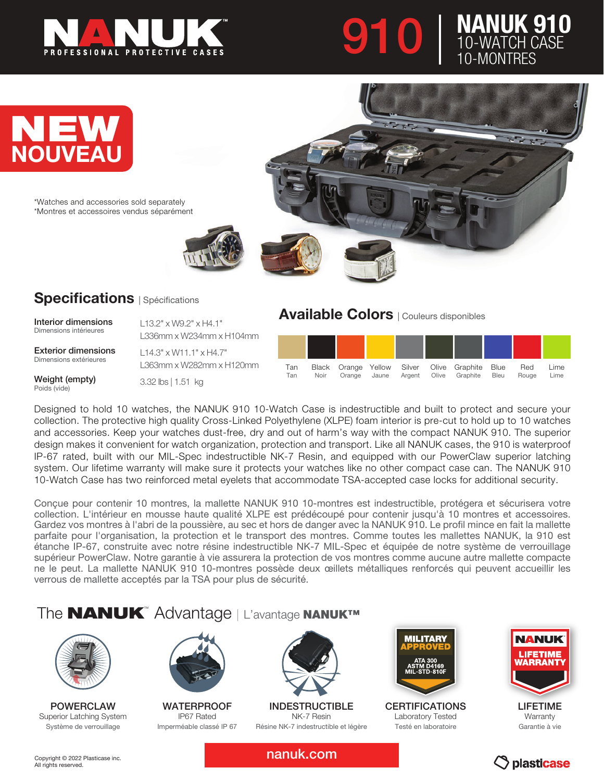





\*Watches and accessories sold separately \*Montres et accessoires vendus séparément



#### **Specifications** | Spécifications

Interior dimensions Dimensions intérieures

Exterior dimensions Dimensions extérieures

L13.2" x W9.2" x H4.1" L336mm x W234mm x H104mm L14.3" x W11.1" x H4.7"

Weight (empty) Poids (vide)

L363mm x W282mm x H120mm 3.32 lbs | 1.51 kg

Available Colors | Couleurs disponibles

| Tan<br>Tan | Noir | Orange | Jaune | Argent | Black Orange Yellow Silver Olive Graphite<br>Olive Graphite | Blue<br><b>Bleu</b> | Red<br>Rouge | Lime<br>Lime |
|------------|------|--------|-------|--------|-------------------------------------------------------------|---------------------|--------------|--------------|

Designed to hold 10 watches, the NANUK 910 10-Watch Case is indestructible and built to protect and secure your collection. The protective high quality Cross-Linked Polyethylene (XLPE) foam interior is pre-cut to hold up to 10 watches and accessories. Keep your watches dust-free, dry and out of harm's way with the compact NANUK 910. The superior design makes it convenient for watch organization, protection and transport. Like all NANUK cases, the 910 is waterproof IP-67 rated, built with our MIL-Spec indestructible NK-7 Resin, and equipped with our PowerClaw superior latching system. Our lifetime warranty will make sure it protects your watches like no other compact case can. The NANUK 910 10-Watch Case has two reinforced metal eyelets that accommodate TSA-accepted case locks for additional security.

Conçue pour contenir 10 montres, la mallette NANUK 910 10-montres est indestructible, protégera et sécurisera votre collection. L'intérieur en mousse haute qualité XLPE est prédécoupé pour contenir jusqu'à 10 montres et accessoires. Gardez vos montres à l'abri de la poussière, au sec et hors de danger avec la NANUK 910. Le profil mince en fait la mallette parfaite pour l'organisation, la protection et le transport des montres. Comme toutes les mallettes NANUK, la 910 est étanche IP-67, construite avec notre résine indestructible NK-7 MIL-Spec et équipée de notre système de verrouillage supérieur PowerClaw. Notre garantie à vie assurera la protection de vos montres comme aucune autre mallette compacte ne le peut. La mallette NANUK 910 10-montres possède deux œillets métalliques renforcés qui peuvent accueillir les verrous de mallette acceptés par la TSA pour plus de sécurité.

## The **NANUK**™ Advantage | L'avantage NANUK™



POWERCLAW Superior Latching System Système de verrouillage



**WATERPROOF** IP67 Rated Imperméable classé IP 67



INDESTRUCTIBLE NK-7 Resin Résine NK-7 indestructible et légère



**CERTIFICATIONS** Laboratory Tested Testé en laboratoire



LIFETIME **Warranty** Garantie à vie

Copyright © 2022 Plasticase inc. All rights reserved.